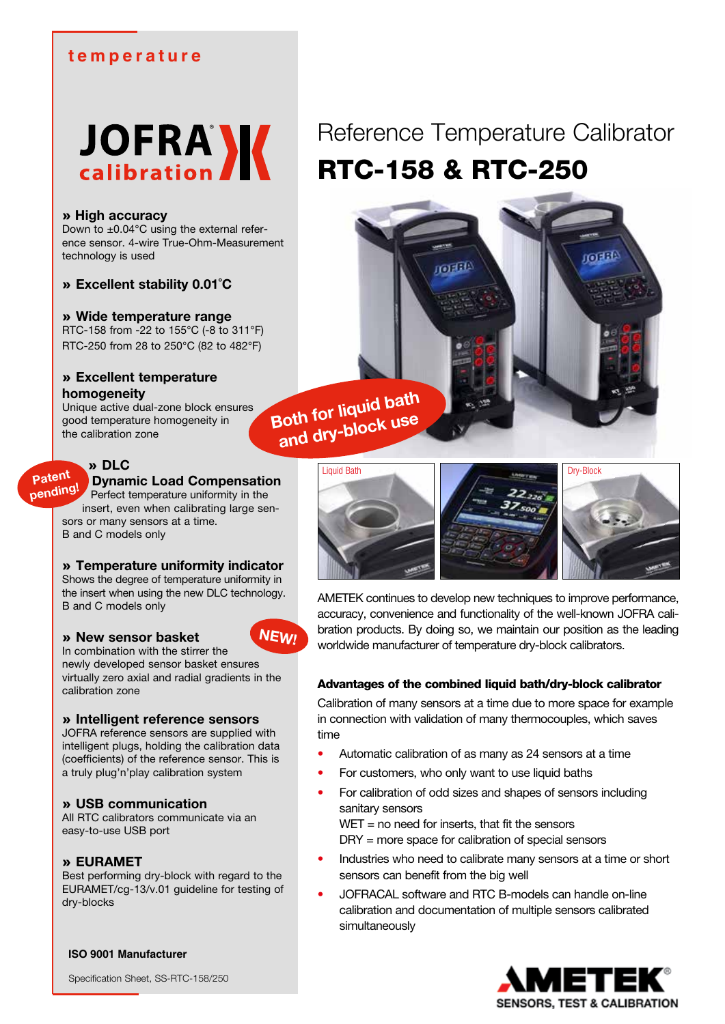# **temperature**

# **JOFRA** K

#### » **High accuracy**

Down to  $\pm 0.04^{\circ}$ C using the external reference sensor. 4-wire True-Ohm-Measurement technology is used

» **Excellent stability 0.01˚C**

#### » **Wide temperature range**

RTC-158 from -22 to 155°C (-8 to 311°F) RTC-250 from 28 to 250°C (82 to 482°F)

# » **Excellent temperature homogeneity**

Unique active dual-zone block ensures good temperature homogeneity in the calibration zone

# » **DLC**

**Patent**

# **Dynamic Load Compensation**

Perfect temperature uniformity in the insert, even when calibrating large sensors or many sensors at a time. B and C models only **pending!**

#### » **Temperature uniformity indicator**

Shows the degree of temperature uniformity in the insert when using the new DLC technology. B and C models only

# » **New sensor basket**

In combination with the stirrer the newly developed sensor basket ensures virtually zero axial and radial gradients in the calibration zone

#### » **Intelligent reference sensors**

JOFRA reference sensors are supplied with intelligent plugs, holding the calibration data (coefficients) of the reference sensor. This is a truly plug'n'play calibration system

# » **USB communication**

All RTC calibrators communicate via an easy-to-use USB port

# » **EURAMET**

Best performing dry-block with regard to the EURAMET/cg-13/v.01 guideline for testing of dry-blocks

**ISO 9001 Manufacturer**

Specification Sheet, SS-RTC-158/250

# Reference Temperature Calibrator RTC-158 & RTC-250

**Takin** 

**Both for liquid bath and dry-block use**

**NEW!**





**Tilio**n

AMETEK continues to develop new techniques to improve performance, accuracy, convenience and functionality of the well-known JOFRA calibration products. By doing so, we maintain our position as the leading worldwide manufacturer of temperature dry-block calibrators.

# Advantages of the combined liquid bath/dry-block calibrator

Calibration of many sensors at a time due to more space for example in connection with validation of many thermocouples, which saves time

- Automatic calibration of as many as 24 sensors at a time
- For customers, who only want to use liquid baths
- For calibration of odd sizes and shapes of sensors including sanitary sensors

 $WET$  = no need for inserts, that fit the sensors DRY = more space for calibration of special sensors

- Industries who need to calibrate many sensors at a time or short sensors can benefit from the big well
- JOFRACAL software and RTC B-models can handle on-line calibration and documentation of multiple sensors calibrated simultaneously

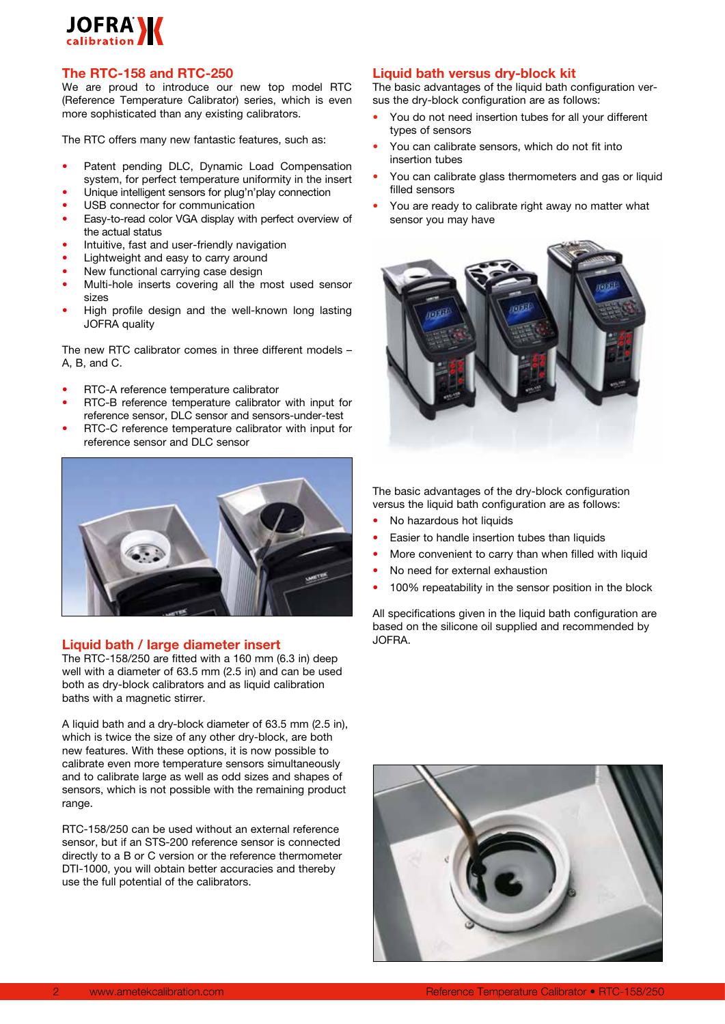# **JOFRAM**

#### **The RTC-158 and RTC-250**

We are proud to introduce our new top model RTC (Reference Temperature Calibrator) series, which is even more sophisticated than any existing calibrators.

The RTC offers many new fantastic features, such as:

- Patent pending DLC, Dynamic Load Compensation system, for perfect temperature uniformity in the insert
- Unique intelligent sensors for plug'n'play connection
- USB connector for communication
- Easy-to-read color VGA display with perfect overview of the actual status
- Intuitive, fast and user-friendly navigation
- Lightweight and easy to carry around
- New functional carrying case design
- Multi-hole inserts covering all the most used sensor sizes
- High profile design and the well-known long lasting JOFRA quality

The new RTC calibrator comes in three different models – A, B, and C.

- RTC-A reference temperature calibrator
- RTC-B reference temperature calibrator with input for reference sensor, DLC sensor and sensors-under-test
- RTC-C reference temperature calibrator with input for reference sensor and DLC sensor



#### **Liquid bath / large diameter insert**

The RTC-158/250 are fitted with a 160 mm (6.3 in) deep well with a diameter of 63.5 mm (2.5 in) and can be used both as dry-block calibrators and as liquid calibration baths with a magnetic stirrer.

A liquid bath and a dry-block diameter of 63.5 mm (2.5 in), which is twice the size of any other dry-block, are both new features. With these options, it is now possible to calibrate even more temperature sensors simultaneously and to calibrate large as well as odd sizes and shapes of sensors, which is not possible with the remaining product range.

RTC-158/250 can be used without an external reference sensor, but if an STS-200 reference sensor is connected directly to a B or C version or the reference thermometer DTI-1000, you will obtain better accuracies and thereby use the full potential of the calibrators.

#### **Liquid bath versus dry-block kit**

The basic advantages of the liquid bath configuration versus the dry-block configuration are as follows:

- You do not need insertion tubes for all your different types of sensors
- You can calibrate sensors, which do not fit into insertion tubes
- You can calibrate glass thermometers and gas or liquid filled sensors
- You are ready to calibrate right away no matter what sensor you may have



The basic advantages of the dry-block configuration versus the liquid bath configuration are as follows:

- No hazardous hot liquids
- Easier to handle insertion tubes than liquids
- More convenient to carry than when filled with liquid
- No need for external exhaustion
- 100% repeatability in the sensor position in the block

All specifications given in the liquid bath configuration are based on the silicone oil supplied and recommended by JOFRA.

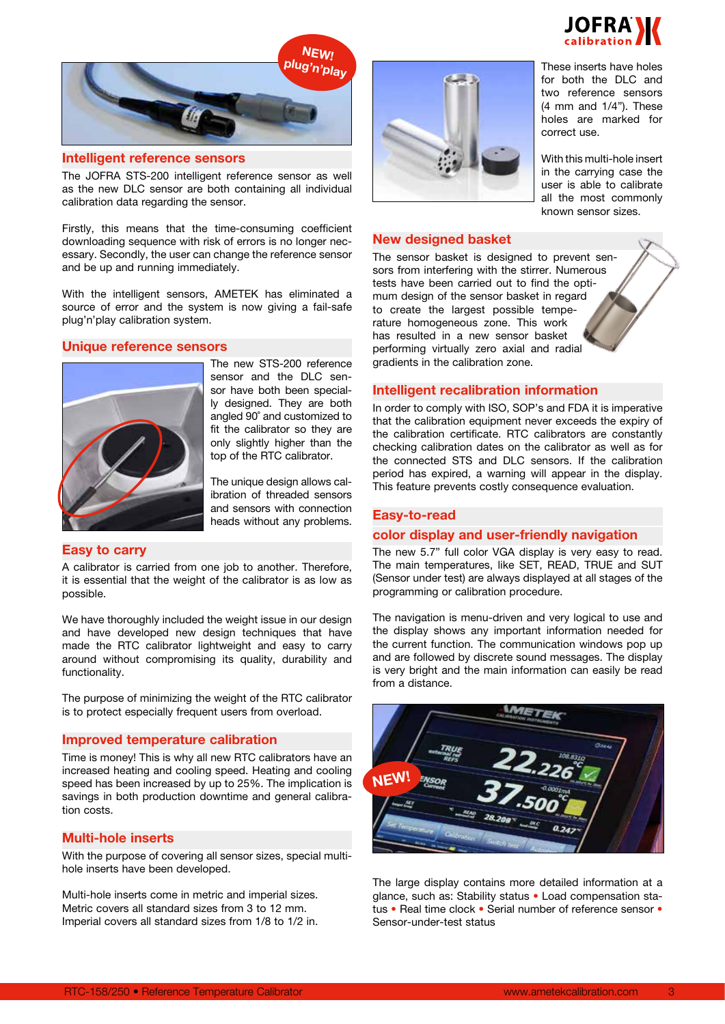

These inserts have holes for both the DLC and two reference sensors (4 mm and 1/4"). These holes are marked for

With this multi-hole insert in the carrying case the user is able to calibrate all the most commonly known sensor sizes.

correct use.



#### **Intelligent reference sensors**

The JOFRA STS-200 intelligent reference sensor as well as the new DLC sensor are both containing all individual calibration data regarding the sensor.

Firstly, this means that the time-consuming coefficient downloading sequence with risk of errors is no longer necessary. Secondly, the user can change the reference sensor and be up and running immediately.

With the intelligent sensors, AMETEK has eliminated a source of error and the system is now giving a fail-safe plug'n'play calibration system.

#### **Unique reference sensors**



The new STS-200 reference sensor and the DLC sensor have both been specially designed. They are both angled 90˚ and customized to fit the calibrator so they are only slightly higher than the top of the RTC calibrator.

The unique design allows calibration of threaded sensors and sensors with connection heads without any problems.

#### **Easy to carry**

A calibrator is carried from one job to another. Therefore, it is essential that the weight of the calibrator is as low as possible.

We have thoroughly included the weight issue in our design and have developed new design techniques that have made the RTC calibrator lightweight and easy to carry around without compromising its quality, durability and functionality.

The purpose of minimizing the weight of the RTC calibrator is to protect especially frequent users from overload.

#### **Improved temperature calibration**

Time is money! This is why all new RTC calibrators have an increased heating and cooling speed. Heating and cooling speed has been increased by up to 25%. The implication is savings in both production downtime and general calibration costs.

#### **Multi-hole inserts**

With the purpose of covering all sensor sizes, special multihole inserts have been developed.

Multi-hole inserts come in metric and imperial sizes. Metric covers all standard sizes from 3 to 12 mm. Imperial covers all standard sizes from 1/8 to 1/2 in.



# **New designed basket**

The sensor basket is designed to prevent sensors from interfering with the stirrer. Numerous tests have been carried out to find the optimum design of the sensor basket in regard to create the largest possible temperature homogeneous zone. This work has resulted in a new sensor basket performing virtually zero axial and radial gradients in the calibration zone.

#### **Intelligent recalibration information**

In order to comply with ISO, SOP's and FDA it is imperative that the calibration equipment never exceeds the expiry of the calibration certificate. RTC calibrators are constantly checking calibration dates on the calibrator as well as for the connected STS and DLC sensors. If the calibration period has expired, a warning will appear in the display. This feature prevents costly consequence evaluation.

#### **Easy-to-read**

#### **color display and user-friendly navigation**

The new 5.7" full color VGA display is very easy to read. The main temperatures, like SET, READ, TRUE and SUT (Sensor under test) are always displayed at all stages of the programming or calibration procedure.

The navigation is menu-driven and very logical to use and the display shows any important information needed for the current function. The communication windows pop up and are followed by discrete sound messages. The display is very bright and the main information can easily be read from a distance.



The large display contains more detailed information at a glance, such as: Stability status • Load compensation status • Real time clock • Serial number of reference sensor • Sensor-under-test status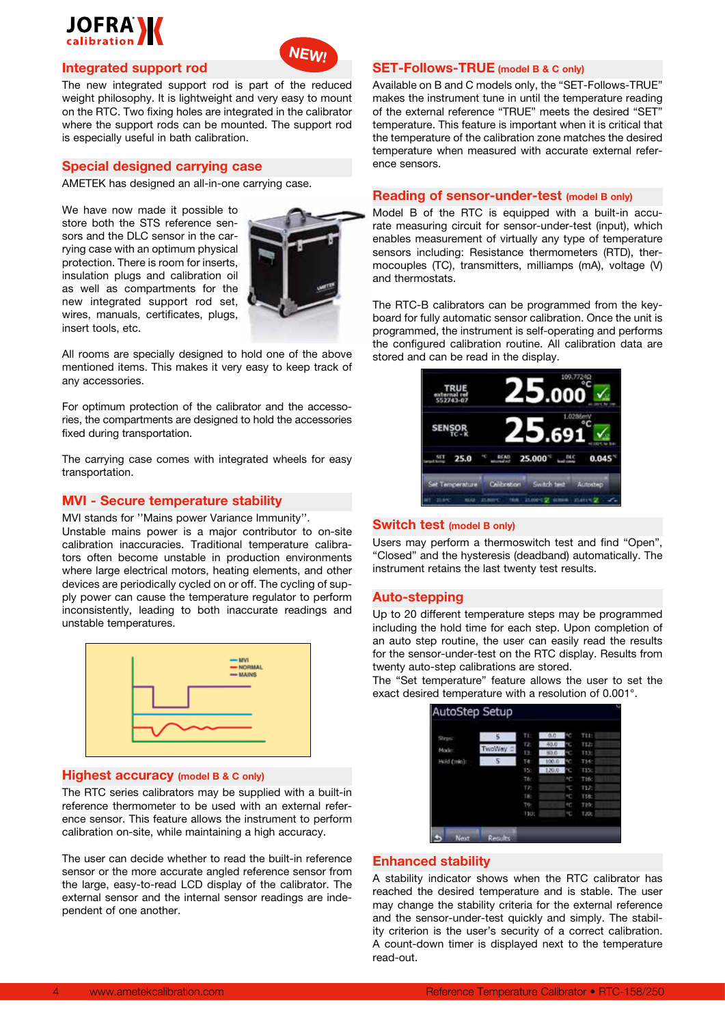

#### **Integrated support rod**

The new integrated support rod is part of the reduced weight philosophy. It is lightweight and very easy to mount on the RTC. Two fixing holes are integrated in the calibrator where the support rods can be mounted. The support rod is especially useful in bath calibration.

#### **Special designed carrying case**

AMETEK has designed an all-in-one carrying case.

We have now made it possible to store both the STS reference sensors and the DLC sensor in the carrying case with an optimum physical protection. There is room for inserts, insulation plugs and calibration oil as well as compartments for the new integrated support rod set, wires, manuals, certificates, plugs, insert tools, etc.



**NEW!**

All rooms are specially designed to hold one of the above mentioned items. This makes it very easy to keep track of any accessories.

For optimum protection of the calibrator and the accessories, the compartments are designed to hold the accessories fixed during transportation.

The carrying case comes with integrated wheels for easy transportation.

#### **MVI - Secure temperature stability**

MVI stands for ''Mains power Variance Immunity''.

Unstable mains power is a major contributor to on-site calibration inaccuracies. Traditional temperature calibrators often become unstable in production environments where large electrical motors, heating elements, and other devices are periodically cycled on or off. The cycling of supply power can cause the temperature regulator to perform inconsistently, leading to both inaccurate readings and unstable temperatures.



#### **Highest accuracy (model B & C only)**

The RTC series calibrators may be supplied with a built-in reference thermometer to be used with an external reference sensor. This feature allows the instrument to perform calibration on-site, while maintaining a high accuracy.

The user can decide whether to read the built-in reference sensor or the more accurate angled reference sensor from the large, easy-to-read LCD display of the calibrator. The external sensor and the internal sensor readings are independent of one another.

#### **SET-Follows-TRUE (model B & C only)**

Available on B and C models only, the "SET-Follows-TRUE" makes the instrument tune in until the temperature reading of the external reference "TRUE" meets the desired "SET" temperature. This feature is important when it is critical that the temperature of the calibration zone matches the desired temperature when measured with accurate external reference sensors.

# **Reading of sensor-under-test (model B only)**

Model B of the RTC is equipped with a built-in accurate measuring circuit for sensor-under-test (input), which enables measurement of virtually any type of temperature sensors including: Resistance thermometers (RTD), thermocouples (TC), transmitters, milliamps (mA), voltage (V) and thermostats.

The RTC-B calibrators can be programmed from the keyboard for fully automatic sensor calibration. Once the unit is programmed, the instrument is self-operating and performs the configured calibration routine. All calibration data are stored and can be read in the display.



#### **Switch test (model B only)**

Users may perform a thermoswitch test and find "Open", "Closed" and the hysteresis (deadband) automatically. The instrument retains the last twenty test results.

#### **Auto-stepping**

Up to 20 different temperature steps may be programmed including the hold time for each step. Upon completion of an auto step routine, the user can easily read the results for the sensor-under-test on the RTC display. Results from twenty auto-step calibrations are stored.

The "Set temperature" feature allows the user to set the exact desired temperature with a resolution of 0.001°.



#### **Enhanced stability**

A stability indicator shows when the RTC calibrator has reached the desired temperature and is stable. The user may change the stability criteria for the external reference and the sensor-under-test quickly and simply. The stability criterion is the user's security of a correct calibration. A count-down timer is displayed next to the temperature read-out.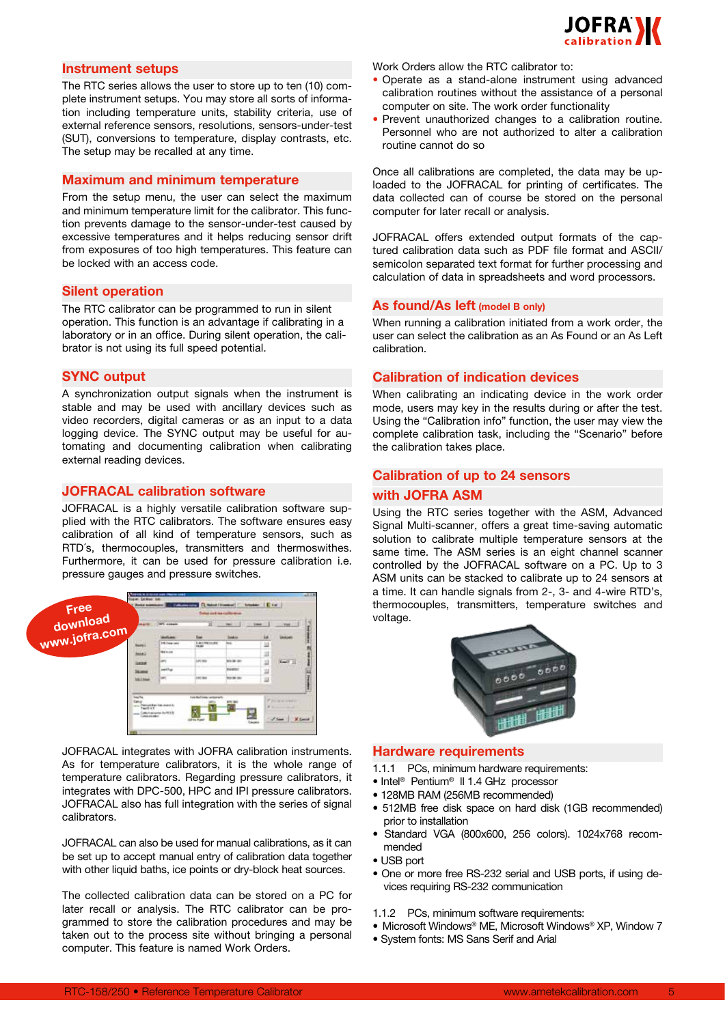

#### **Instrument setups**

The RTC series allows the user to store up to ten (10) complete instrument setups. You may store all sorts of information including temperature units, stability criteria, use of external reference sensors, resolutions, sensors-under-test (SUT), conversions to temperature, display contrasts, etc. The setup may be recalled at any time.

#### **Maximum and minimum temperature**

From the setup menu, the user can select the maximum and minimum temperature limit for the calibrator. This function prevents damage to the sensor-under-test caused by excessive temperatures and it helps reducing sensor drift from exposures of too high temperatures. This feature can be locked with an access code.

#### **Silent operation**

The RTC calibrator can be programmed to run in silent operation. This function is an advantage if calibrating in a laboratory or in an office. During silent operation, the calibrator is not using its full speed potential.

#### **SYNC output**

A synchronization output signals when the instrument is stable and may be used with ancillary devices such as video recorders, digital cameras or as an input to a data logging device. The SYNC output may be useful for automating and documenting calibration when calibrating external reading devices.

#### **JOFRACAL calibration software**

JOFRACAL is a highly versatile calibration software supplied with the RTC calibrators. The software ensures easy calibration of all kind of temperature sensors, such as RTD´s, thermocouples, transmitters and thermoswithes. Furthermore, it can be used for pressure calibration i.e. pressure gauges and pressure switches.

|                                   | <b>John Mill</b>  | <b>WT.</b> motion                  | Total and no culturated       |                          |   | <b>Hard Co.</b>              |
|-----------------------------------|-------------------|------------------------------------|-------------------------------|--------------------------|---|------------------------------|
| Free<br>download<br>www.jofra.com |                   |                                    | 五<br><b>Local</b>             |                          |   |                              |
|                                   |                   | 14 East Levil                      | 1-83 98 SURE<br><b>Hang</b>   | m                        |   |                              |
|                                   | <b>MAL</b>        | <b>Rid Guide</b>                   |                               |                          | - |                              |
|                                   | burness           | <b>Security</b>                    | Locked                        | <b>NAME</b>              |   | Keel X                       |
|                                   | <b>SCART</b>      | painting.                          |                               | <b>NAMES</b>             |   |                              |
|                                   | <b>14.11m</b>     | w                                  | 240,600                       | <b>North Co.</b><br>7.71 |   |                              |
| <b>Sept Pro</b>                   | <b>BELLEVILLE</b> | <b>List Brack Cole Letter of A</b> | <b>Telefiel Line campbell</b> |                          |   | PALMA CHE<br><b>M. Carro</b> |

JOFRACAL integrates with JOFRA calibration instruments. As for temperature calibrators, it is the whole range of temperature calibrators. Regarding pressure calibrators, it integrates with DPC-500, HPC and IPI pressure calibrators. JOFRACAL also has full integration with the series of signal calibrators.

JOFRACAL can also be used for manual calibrations, as it can be set up to accept manual entry of calibration data together with other liquid baths, ice points or dry-block heat sources.

The collected calibration data can be stored on a PC for later recall or analysis. The RTC calibrator can be programmed to store the calibration procedures and may be taken out to the process site without bringing a personal computer. This feature is named Work Orders.

Work Orders allow the RTC calibrator to:

- Operate as a stand-alone instrument using advanced calibration routines without the assistance of a personal computer on site. The work order functionality
- Prevent unauthorized changes to a calibration routine. Personnel who are not authorized to alter a calibration routine cannot do so

Once all calibrations are completed, the data may be uploaded to the JOFRACAL for printing of certificates. The data collected can of course be stored on the personal computer for later recall or analysis.

JOFRACAL offers extended output formats of the captured calibration data such as PDF file format and ASCII/ semicolon separated text format for further processing and calculation of data in spreadsheets and word processors.

#### **As found/As left (model B only)**

When running a calibration initiated from a work order, the user can select the calibration as an As Found or an As Left calibration.

#### **Calibration of indication devices**

When calibrating an indicating device in the work order mode, users may key in the results during or after the test. Using the "Calibration info" function, the user may view the complete calibration task, including the "Scenario" before the calibration takes place.

# **Calibration of up to 24 sensors with JOFRA ASM**

Using the RTC series together with the ASM, Advanced Signal Multi-scanner, offers a great time-saving automatic solution to calibrate multiple temperature sensors at the same time. The ASM series is an eight channel scanner controlled by the JOFRACAL software on a PC. Up to 3 ASM units can be stacked to calibrate up to 24 sensors at a time. It can handle signals from 2-, 3- and 4-wire RTD's, thermocouples, transmitters, temperature switches and voltage.



#### **Hardware requirements**

- 1.1.1 PCs, minimum hardware requirements:
- Intel<sup>®</sup> Pentium<sup>®</sup> II 1.4 GHz processor
- 128MB RAM (256MB recommended)
- 512MB free disk space on hard disk (1GB recommended) prior to installation
- Standard VGA (800x600, 256 colors). 1024x768 recommended
- USB port
- One or more free RS-232 serial and USB ports, if using devices requiring RS-232 communication

#### 1.1.2 PCs, minimum software requirements:

- Microsoft Windows® ME, Microsoft Windows® XP, Window 7
- System fonts: MS Sans Serif and Arial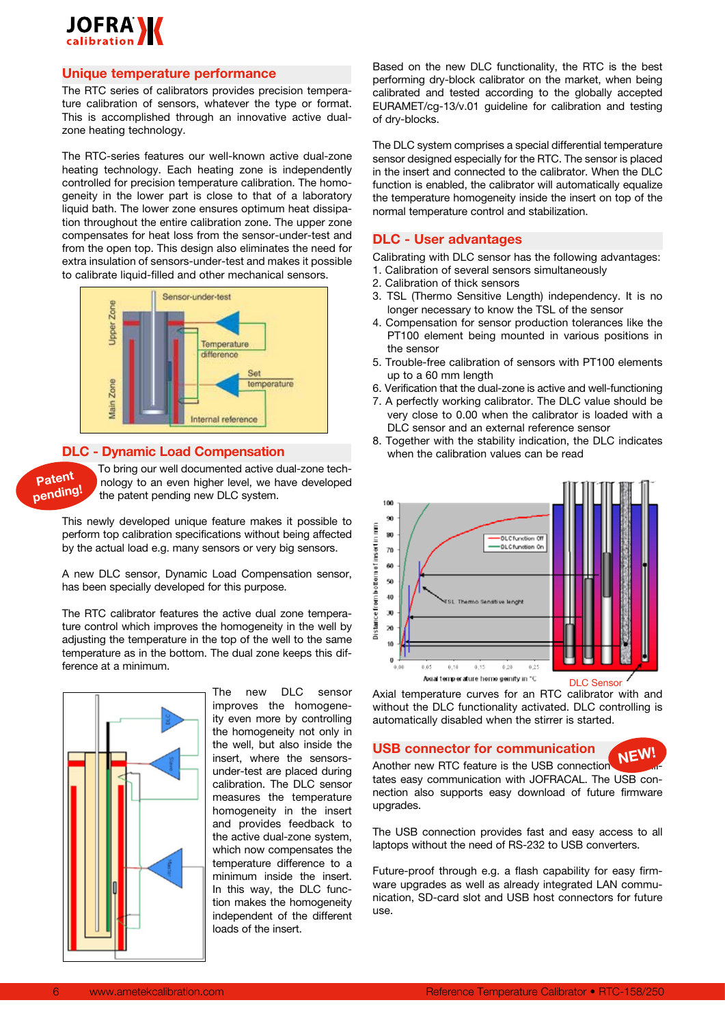

#### **Unique temperature performance**

The RTC series of calibrators provides precision temperature calibration of sensors, whatever the type or format. This is accomplished through an innovative active dualzone heating technology.

The RTC-series features our well-known active dual-zone heating technology. Each heating zone is independently controlled for precision temperature calibration. The homogeneity in the lower part is close to that of a laboratory liquid bath. The lower zone ensures optimum heat dissipation throughout the entire calibration zone. The upper zone compensates for heat loss from the sensor-under-test and from the open top. This design also eliminates the need for extra insulation of sensors-under-test and makes it possible to calibrate liquid-filled and other mechanical sensors.



#### **DLC - Dynamic Load Compensation**



To bring our well documented active dual-zone technology to an even higher level, we have developed the patent pending new DLC system.

This newly developed unique feature makes it possible to perform top calibration specifications without being affected by the actual load e.g. many sensors or very big sensors.

A new DLC sensor, Dynamic Load Compensation sensor, has been specially developed for this purpose.

The RTC calibrator features the active dual zone temperature control which improves the homogeneity in the well by adjusting the temperature in the top of the well to the same temperature as in the bottom. The dual zone keeps this difference at a minimum.



The new DLC sensor improves the homogeneity even more by controlling the homogeneity not only in the well, but also inside the insert, where the sensorsunder-test are placed during calibration. The DLC sensor measures the temperature homogeneity in the insert and provides feedback to the active dual-zone system, which now compensates the temperature difference to a minimum inside the insert. In this way, the DLC function makes the homogeneity independent of the different loads of the insert.

Based on the new DLC functionality, the RTC is the best performing dry-block calibrator on the market, when being calibrated and tested according to the globally accepted EURAMET/cg-13/v.01 guideline for calibration and testing of dry-blocks.

The DLC system comprises a special differential temperature sensor designed especially for the RTC. The sensor is placed in the insert and connected to the calibrator. When the DLC function is enabled, the calibrator will automatically equalize the temperature homogeneity inside the insert on top of the normal temperature control and stabilization.

#### **DLC - User advantages**

Calibrating with DLC sensor has the following advantages: 1. Calibration of several sensors simultaneously

- 2. Calibration of thick sensors
- 3. TSL (Thermo Sensitive Length) independency. It is no longer necessary to know the TSL of the sensor
- 4. Compensation for sensor production tolerances like the PT100 element being mounted in various positions in the sensor
- 5. Trouble-free calibration of sensors with PT100 elements up to a 60 mm length
- 6. Verification that the dual-zone is active and well-functioning
- 7. A perfectly working calibrator. The DLC value should be very close to 0.00 when the calibrator is loaded with a DLC sensor and an external reference sensor
- 8. Together with the stability indication, the DLC indicates when the calibration values can be read



Axial temperature curves for an RTC calibrator with and without the DLC functionality activated. DLC controlling is automatically disabled when the stirrer is started.

#### **USB connector for communication**

**NEW!**

Another new RTC feature is the USB connection tates easy communication with JOFRACAL. The USB connection also supports easy download of future firmware upgrades.

The USB connection provides fast and easy access to all laptops without the need of RS-232 to USB converters.

Future-proof through e.g. a flash capability for easy firmware upgrades as well as already integrated LAN communication, SD-card slot and USB host connectors for future use.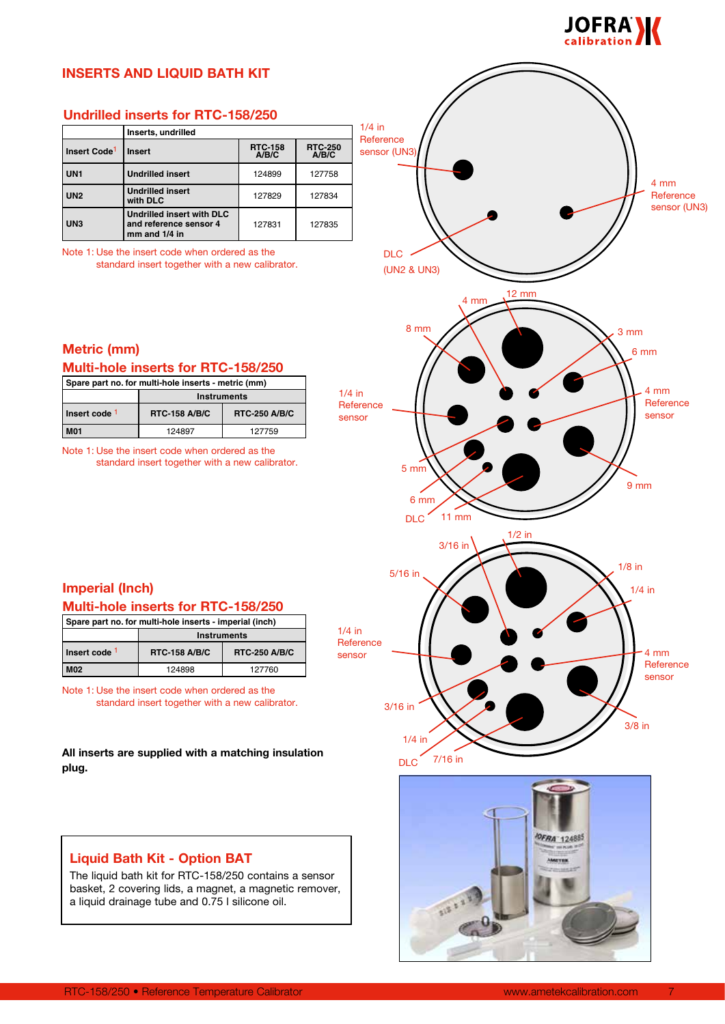

# **INSERTS AND LIQUID BATH KIT**

# **Undrilled inserts for RTC-158/250**

|                          | Inserts, undrilled                                                       |                         |                         |
|--------------------------|--------------------------------------------------------------------------|-------------------------|-------------------------|
| Insert Code <sup>1</sup> | <b>Insert</b>                                                            | <b>RTC-158</b><br>A/B/C | <b>RTC-250</b><br>A/B/C |
| UN <sub>1</sub>          | <b>Undrilled insert</b>                                                  | 124899                  | 127758                  |
| <b>UN2</b>               | <b>Undrilled insert</b><br>with DLC                                      | 127829                  | 127834                  |
| UN <sub>3</sub>          | Undrilled insert with DLC<br>and reference sensor 4<br>$mm$ and $1/4$ in | 127831                  | 127835                  |

Note 1: Use the insert code when ordered as the

standard insert together with a new calibrator.

# **Metric (mm)**

# **Multi-hole inserts for RTC-158/250**

| Spare part no. for multi-hole inserts - metric (mm) |                      |                      |  |
|-----------------------------------------------------|----------------------|----------------------|--|
|                                                     | <b>Instruments</b>   |                      |  |
| Insert code 1                                       | <b>RTC-158 A/B/C</b> | <b>RTC-250 A/B/C</b> |  |
| <b>M01</b>                                          | 124897               | 127759               |  |

Note 1: Use the insert code when ordered as the standard insert together with a new calibrator.



# **Imperial (Inch) Multi-hole inserts for RTC-158/250**

| Spare part no. for multi-hole inserts - imperial (inch) |                      |                      |  |
|---------------------------------------------------------|----------------------|----------------------|--|
|                                                         | <b>Instruments</b>   |                      |  |
| Insert code 1                                           | <b>RTC-158 A/B/C</b> | <b>RTC-250 A/B/C</b> |  |
| <b>M02</b>                                              | 124898               | 127760               |  |

Note 1: Use the insert code when ordered as the standard insert together with a new calibrator.

#### **All inserts are supplied with a matching insulation plug.**

# **Liquid Bath Kit - Option BAT**

The liquid bath kit for RTC-158/250 contains a sensor basket, 2 covering lids, a magnet, a magnetic remover, a liquid drainage tube and 0.75 l silicone oil.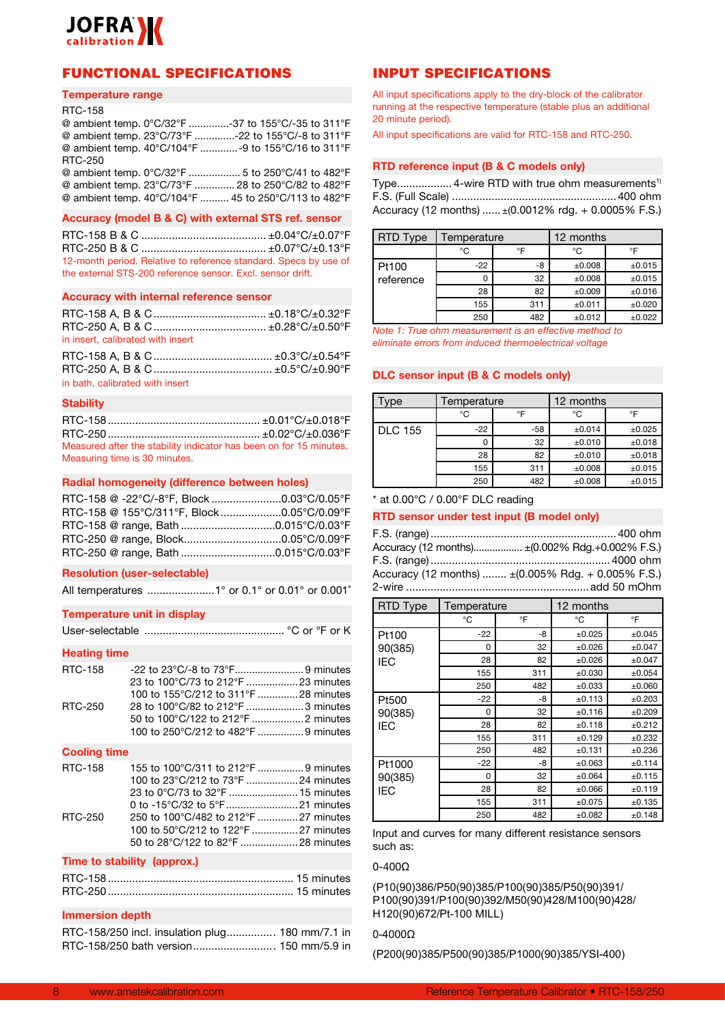

# FUNCTIONAL SPECIFICATIONS

#### **Temperature range**

#### RTC-158

@ ambient temp. 0°C/32°F ..............-37 to 155°C/-35 to 311°F @ ambient temp. 23°C/73°F ..............-22 to 155°C/-8 to 311°F @ ambient temp. 40°C/104°F .............-9 to 155°C/16 to 311°F RTC-250 @ ambient temp. 0°C/32°F .................. 5 to 250°C/41 to 482°F @ ambient temp. 23°C/73°F .............. 28 to 250°C/82 to 482°F @ ambient temp. 40°C/104°F .......... 45 to 250°C/113 to 482°F

#### **Accuracy (model B & C) with external STS ref. sensor**

RTC-158 B & C ......................................... ±0.04°C/±0.07°F RTC-250 B & C ......................................... ±0.07°C/±0.13°F 12-month period. Relative to reference standard. Specs by use of the external STS-200 reference sensor. Excl. sensor drift.

#### **Accuracy with internal reference sensor**

| in insert, calibrated with insert |  |
|-----------------------------------|--|

| in bath, calibrated with insert |  |
|---------------------------------|--|

#### **Stability**

RTC-158.................................................. ±0.01°C/±0.018°F RTC-250.................................................. ±0.02°C/±0.036°F Measured after the stability indicator has been on for 15 minutes. Measuring time is 30 minutes.

#### **Radial homogeneity (difference between holes)**

| RTC-158 @ -22°C/-8°F, Block 0.03°C/0.05°F |  |
|-------------------------------------------|--|
| RTC-158 @ 155°C/311°F, Block0.05°C/0.09°F |  |
|                                           |  |
|                                           |  |
|                                           |  |

#### **Resolution (user-selectable)**

All temperatures ......................1° or 0.1° or 0.01° or 0.001˚

#### **Temperature unit in display**

|--|--|--|--|--|--|

#### **Heating time**

| 23 to 100°C/73 to 212°F 23 minutes   |  |
|--------------------------------------|--|
| 100 to 155°C/212 to 311°F 28 minutes |  |
| 28 to 100°C/82 to 212°F 3 minutes    |  |
|                                      |  |
| 100 to 250°C/212 to 482°F 9 minutes  |  |
|                                      |  |

#### **Cooling time**

| RTC-158 | 155 to 100°C/311 to 212°F 9 minutes  |  |
|---------|--------------------------------------|--|
|         | 100 to 23°C/212 to 73°F 24 minutes   |  |
|         | 23 to 0°C/73 to 32°F  15 minutes     |  |
|         |                                      |  |
| RTC-250 | 250 to 100°C/482 to 212°F 27 minutes |  |
|         | 100 to 50°C/212 to 122°F 27 minutes  |  |
|         |                                      |  |

#### **Time to stability (approx.)**

#### **Immersion depth**

| RTC-158/250 incl. insulation plug 180 mm/7.1 in |  |
|-------------------------------------------------|--|
|                                                 |  |

### INPUT SPECIFICATIONS

All input specifications apply to the dry-block of the calibrator running at the respective temperature (stable plus an additional 20 minute period).

All input specifications are valid for RTC-158 and RTC-250.

#### **RTD reference input (B & C models only)**

Type.................. 4-wire RTD with true ohm measurements1) F.S. (Full Scale) ......................................................400 ohm Accuracy (12 months) ...... ±(0.0012% rdg. + 0.0005% F.S.)

| RTD Type    | Temperature |     | 12 months   |             |
|-------------|-------------|-----|-------------|-------------|
|             | °C          | °F  | °C          | ∘⊏          |
| l Pt100     | $-22$       | -8  | $\pm 0.008$ | ±0.015      |
| l reference |             | 32  | $\pm 0.008$ | ±0.015      |
|             | 28          | 82  | ±0.009      | ±0.016      |
|             | 155         | 311 | ±0.011      | ±0.020      |
|             | 250         | 482 | $\pm 0.012$ | $\pm 0.022$ |

*Note 1: True ohm measurement is an effective method to eliminate errors from induced thermoelectrical voltage*

#### **DLC sensor input (B & C models only)**

| vpe            | Temperature |       | 12 months   |        |
|----------------|-------------|-------|-------------|--------|
|                | °C          | °F    | °C          | ∘F     |
| <b>DLC 155</b> | $-22$       | $-58$ | ±0.014      | ±0.025 |
|                | 0           | 32    | ±0.010      | ±0.018 |
|                | 28          | 82    | ±0.010      | ±0.018 |
|                | 155         | 311   | ±0.008      | ±0.015 |
|                | 250         | 482   | $\pm 0.008$ | ±0.015 |

#### $*$  at 0.00 $°C$  / 0.00 $°F$  DLC reading

#### **RTD sensor under test input (B model only)**

| Accuracy (12 months) ± (0.002% Rdg.+0.002% F.S.)                         |
|--------------------------------------------------------------------------|
|                                                                          |
| Accuracy (12 months) $\pm (0.005\% \text{ Rdg.} + 0.005\% \text{ F.S.})$ |
|                                                                          |

| <b>RTD Type</b> | Temperature |     | 12 months |             |
|-----------------|-------------|-----|-----------|-------------|
|                 | °C          | °F  | °C        | °F          |
| Pt100           | $-22$       | -8  | ±0.025    | $\pm 0.045$ |
| 90(385)         | 0           | 32  | ±0.026    | ±0.047      |
| <b>IEC</b>      | 28          | 82  | ±0.026    | $\pm 0.047$ |
|                 | 155         | 311 | ±0.030    | ±0.054      |
|                 | 250         | 482 | ±0.033    | ±0.060      |
| Pt500           | $-22$       | -8  | ±0.113    | ±0.203      |
| 90(385)         | 0           | 32  | ±0.116    | $\pm 0.209$ |
| <b>IEC</b>      | 28          | 82  | ±0.118    | ±0.212      |
|                 | 155         | 311 | ±0.129    | ±0.232      |
|                 | 250         | 482 | ±0.131    | ±0.236      |
| Pt1000          | $-22$       | -8  | ±0.063    | ±0.114      |
| 90(385)         | 0           | 32  | ±0.064    | ±0.115      |
| <b>IEC</b>      | 28          | 82  | ±0.066    | ±0.119      |
|                 | 155         | 311 | ±0.075    | ±0.135      |
|                 | 250         | 482 | ±0.082    | $\pm$ 0.148 |

Input and curves for many different resistance sensors such as:

#### 0-400Ω

(P10(90)386/P50(90)385/P100(90)385/P50(90)391/ P100(90)391/P100(90)392/M50(90)428/M100(90)428/ H120(90)672/Pt-100 MILL)

#### 0-4000Ω

(P200(90)385/P500(90)385/P1000(90)385/YSI-400)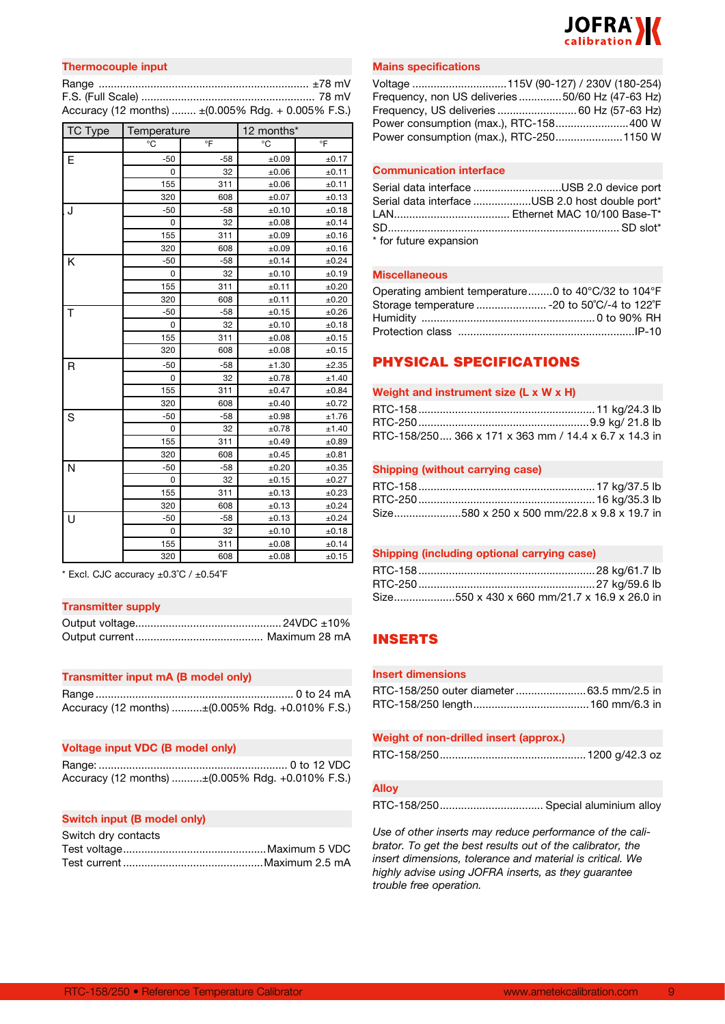

| <b>Thermocouple input</b> |                                                     |
|---------------------------|-----------------------------------------------------|
|                           |                                                     |
|                           |                                                     |
|                           | Accuracy (12 months)  ± (0.005% Rdg. + 0.005% F.S.) |

| TC Type | Temperature |                | 12 months* |       |
|---------|-------------|----------------|------------|-------|
|         | °C          | $\overline{P}$ | °C         | °F    |
| E       | $-50$       | $-58$          | ±0.09      | ±0.17 |
|         | 0           | 32             | $\pm 0.06$ | ±0.11 |
|         | 155         | 311            | $\pm 0.06$ | ±0.11 |
|         | 320         | 608            | ±0.07      | ±0.13 |
| J       | $-50$       | $-58$          | ±0.10      | ±0.18 |
|         | 0           | 32             | ±0.08      | ±0.14 |
|         | 155         | 311            | ±0.09      | ±0.16 |
|         | 320         | 608            | ±0.09      | ±0.16 |
| Κ       | $-50$       | $-58$          | ±0.14      | ±0.24 |
|         | 0           | 32             | ±0.10      | ±0.19 |
|         | 155         | 311            | ±0.11      | ±0.20 |
|         | 320         | 608            | ±0.11      | ±0.20 |
| Τ       | $-50$       | $-58$          | ±0.15      | ±0.26 |
|         | 0           | 32             | ±0.10      | ±0.18 |
|         | 155         | 311            | ±0.08      | ±0.15 |
|         | 320         | 608            | ±0.08      | ±0.15 |
| R       | $-50$       | $-58$          | ±1.30      | ±2.35 |
|         | 0           | 32             | ±0.78      | ±1.40 |
|         | 155         | 311            | ±0.47      | ±0.84 |
|         | 320         | 608            | ±0.40      | ±0.72 |
| S       | $-50$       | $-58$          | ±0.98      | ±1.76 |
|         | 0           | 32             | ±0.78      | ±1.40 |
|         | 155         | 311            | ±0.49      | ±0.89 |
|         | 320         | 608            | ±0.45      | ±0.81 |
| N       | -50         | $-58$          | ±0.20      | ±0.35 |
|         | 0           | 32             | ±0.15      | ±0.27 |
|         | 155         | 311            | ±0.13      | ±0.23 |
|         | 320         | 608            | ±0.13      | ±0.24 |
| U       | $-50$       | $-58$          | ±0.13      | ±0.24 |
|         | 0           | 32             | ±0.10      | ±0.18 |
|         | 155         | 311            | ±0.08      | ±0.14 |
|         | 320         | 608            | ±0.08      | ±0.15 |

\* Excl. CJC accuracy ±0.3˚C / ±0.54˚F

#### **Transmitter supply**

#### **Transmitter input mA (B model only)**

| Accuracy (12 months) ±(0.005% Rdg. +0.010% F.S.) |  |
|--------------------------------------------------|--|

#### **Voltage input VDC (B model only)**

Range: .............................................................. 0 to 12 VDC Accuracy (12 months) ..........±(0.005% Rdg. +0.010% F.S.)

#### **Switch input (B model only)**

| Switch dry contacts |  |
|---------------------|--|
|                     |  |
|                     |  |

#### **Mains specifications**

| Voltage 115V (90-127) / 230V (180-254)          |  |
|-------------------------------------------------|--|
| Frequency, non US deliveries50/60 Hz (47-63 Hz) |  |
| Frequency, US deliveries  60 Hz (57-63 Hz)      |  |
| Power consumption (max.), RTC-158400 W          |  |
|                                                 |  |

#### **Communication interface**

|                        | Serial data interface USB 2.0 device port       |
|------------------------|-------------------------------------------------|
|                        | Serial data interface USB 2.0 host double port* |
|                        |                                                 |
|                        |                                                 |
| * for future expansion |                                                 |

#### **Miscellaneous**

| Operating ambient temperature0 to 40°C/32 to 104°F |  |
|----------------------------------------------------|--|
| Storage temperature  - 20 to 50°C/-4 to 122°F      |  |
|                                                    |  |
|                                                    |  |

# PHYSICAL SPECIFICATIONS

#### **Weight and instrument size (L x W x H)**

| RTC-158/250, 366 x 171 x 363 mm / 14.4 x 6.7 x 14.3 in |  |
|--------------------------------------------------------|--|

#### **Shipping (without carrying case)**

|  | Size580 x 250 x 500 mm/22.8 x 9.8 x 19.7 in |
|--|---------------------------------------------|

#### **Shipping (including optional carrying case)**

|  | Size550 x 430 x 660 mm/21.7 x 16.9 x 26.0 in |
|--|----------------------------------------------|

# INSERTS

#### **Insert dimensions**

| RTC-158/250 outer diameter 63.5 mm/2.5 in |  |
|-------------------------------------------|--|
|                                           |  |

| Weight of non-drilled insert (approx.) |  |  |
|----------------------------------------|--|--|
|                                        |  |  |

#### **Alloy**

RTC-158/250.................................. Special aluminium alloy

*Use of other inserts may reduce performance of the calibrator. To get the best results out of the calibrator, the insert dimensions, tolerance and material is critical. We highly advise using JOFRA inserts, as they guarantee trouble free operation.*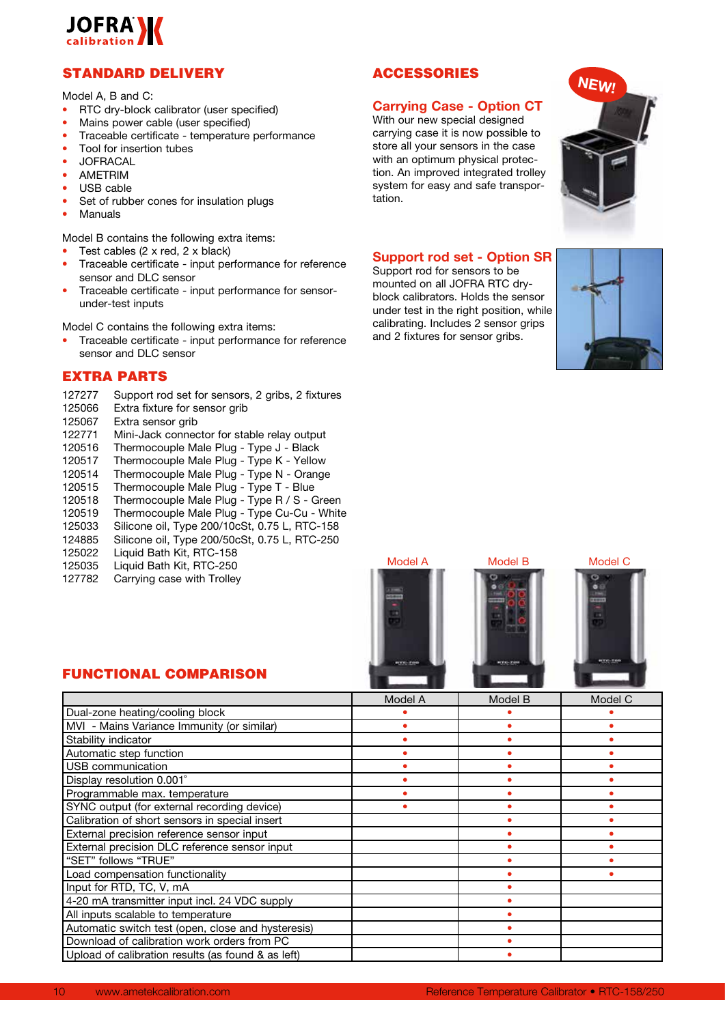

# STANDARD DELIVERY

Model A, B and C:

- RTC dry-block calibrator (user specified)
- Mains power cable (user specified)
- Traceable certificate temperature performance
- Tool for insertion tubes
- JOFRACAL
- AMETRIM
- USB cable
- Set of rubber cones for insulation plugs
- **Manuals**

Model B contains the following extra items:

- Test cables (2 x red, 2 x black)
- Traceable certificate input performance for reference sensor and DLC sensor
- Traceable certificate input performance for sensorunder-test inputs

Model C contains the following extra items:

• Traceable certificate - input performance for reference sensor and DLC sensor

# EXTRA PARTS

- 127277 Support rod set for sensors, 2 gribs, 2 fixtures
- 125066 Extra fixture for sensor grib<br>125067 Extra sensor grib
- Extra sensor grib
- 122771 Mini-Jack connector for stable relay output
- Thermocouple Male Plug Type J Black
- 120517 Thermocouple Male Plug Type K Yellow
- 120514 Thermocouple Male Plug Type N Orange<br>120515 Thermocouple Male Plug Type T Blue
- 120515 Thermocouple Male Plug Type T Blue
- 120518 Thermocouple Male Plug Type R / S Green<br>120519 Thermocouple Male Plug Type Cu-Cu White
- Thermocouple Male Plug Type Cu-Cu White
- 125033 Silicone oil, Type 200/10cSt, 0.75 L, RTC-158
- 124885 Silicone oil, Type 200/50cSt, 0.75 L, RTC-250
- 125022 Liquid Bath Kit, RTC-158
- 125035 Liquid Bath Kit, RTC-250
- 127782 Carrying case with Trolley

# ACCESSORIES

# **Carrying Case - Option CT**

With our new special designed carrying case it is now possible to store all your sensors in the case with an optimum physical protection. An improved integrated trolley system for easy and safe transportation.



**NEW!**

#### **Support rod set - Option SR**

Support rod for sensors to be mounted on all JOFRA RTC dryblock calibrators. Holds the sensor under test in the right position, while calibrating. Includes 2 sensor grips and 2 fixtures for sensor gribs.







# FUNCTIONAL COMPARISON

|                                                    | Model A | Model B | Model C |
|----------------------------------------------------|---------|---------|---------|
| Dual-zone heating/cooling block                    |         |         |         |
| MVI - Mains Variance Immunity (or similar)         |         |         |         |
| Stability indicator                                |         |         |         |
| Automatic step function                            |         |         |         |
| USB communication                                  |         |         |         |
| Display resolution 0.001°                          |         |         |         |
| Programmable max. temperature                      |         |         |         |
| SYNC output (for external recording device)        |         |         |         |
| Calibration of short sensors in special insert     |         |         |         |
| External precision reference sensor input          |         |         |         |
| External precision DLC reference sensor input      |         |         |         |
| "SET" follows "TRUE"                               |         |         |         |
| Load compensation functionality                    |         |         |         |
| Input for RTD, TC, V, mA                           |         |         |         |
| 4-20 mA transmitter input incl. 24 VDC supply      |         |         |         |
| All inputs scalable to temperature                 |         |         |         |
| Automatic switch test (open, close and hysteresis) |         |         |         |
| Download of calibration work orders from PC        |         |         |         |
| Upload of calibration results (as found & as left) |         |         |         |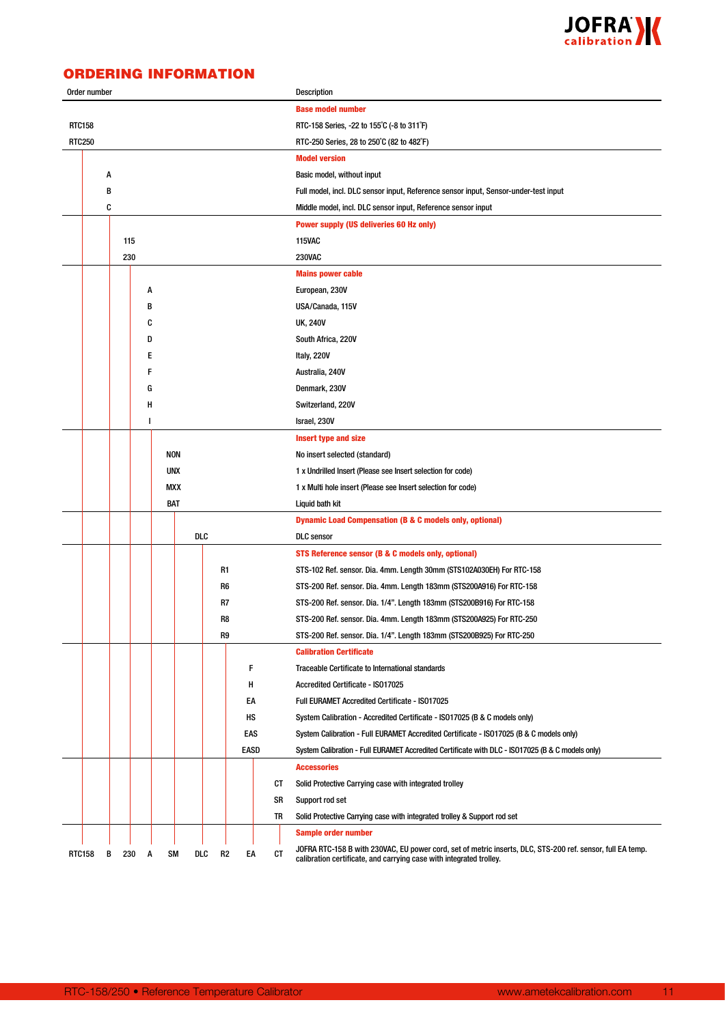

# ORDERING INFORMATION

|               | Order number |          |   |           |            |                      |    | <b>Description</b>                                                                                                                                                                |
|---------------|--------------|----------|---|-----------|------------|----------------------|----|-----------------------------------------------------------------------------------------------------------------------------------------------------------------------------------|
|               |              |          |   |           |            |                      |    | <b>Base model number</b>                                                                                                                                                          |
| <b>RTC158</b> |              |          |   |           |            |                      |    | RTC-158 Series, -22 to 155°C (-8 to 311°F)                                                                                                                                        |
| <b>RTC250</b> |              |          |   |           |            |                      |    | RTC-250 Series, 28 to 250°C (82 to 482°F)                                                                                                                                         |
|               |              |          |   |           |            |                      |    | <b>Model version</b>                                                                                                                                                              |
|               |              | А        |   |           |            |                      |    | Basic model, without input                                                                                                                                                        |
|               |              | В        |   |           |            |                      |    | Full model, incl. DLC sensor input, Reference sensor input, Sensor-under-test input                                                                                               |
|               |              | C        |   |           |            |                      |    | Middle model, incl. DLC sensor input, Reference sensor input                                                                                                                      |
|               |              |          |   |           |            |                      |    | <b>Power supply (US deliveries 60 Hz only)</b>                                                                                                                                    |
|               |              | 115      |   |           |            |                      |    | <b>115VAC</b>                                                                                                                                                                     |
|               |              | 230      |   |           |            |                      |    | <b>230VAC</b>                                                                                                                                                                     |
|               |              |          |   |           |            |                      |    | <b>Mains power cable</b>                                                                                                                                                          |
|               |              |          | A |           |            |                      |    | European, 230V                                                                                                                                                                    |
|               |              |          | в |           |            |                      |    | USA/Canada, 115V                                                                                                                                                                  |
|               |              |          | C |           |            |                      |    | <b>UK, 240V</b>                                                                                                                                                                   |
|               |              |          | D |           |            |                      |    | South Africa, 220V                                                                                                                                                                |
|               |              |          | Е |           |            |                      |    | Italy, 220V                                                                                                                                                                       |
|               |              |          |   |           |            |                      |    | Australia, 240V                                                                                                                                                                   |
|               |              |          |   | G         |            |                      |    | Denmark, 230V                                                                                                                                                                     |
|               |              |          | Н |           |            |                      |    | Switzerland, 220V                                                                                                                                                                 |
|               |              |          | ı |           |            |                      |    | Israel, 230V                                                                                                                                                                      |
|               |              |          |   |           |            |                      |    | <b>Insert type and size</b>                                                                                                                                                       |
|               |              |          |   |           | NON        |                      |    | No insert selected (standard)                                                                                                                                                     |
|               |              |          |   |           | <b>UNX</b> |                      |    | 1 x Undrilled Insert (Please see Insert selection for code)                                                                                                                       |
|               |              |          |   |           | <b>MXX</b> |                      |    | 1 x Multi hole insert (Please see Insert selection for code)                                                                                                                      |
|               |              |          |   | BAT       |            |                      |    |                                                                                                                                                                                   |
|               |              |          |   |           |            |                      |    | Liquid bath kit                                                                                                                                                                   |
|               |              |          |   |           | DLC        |                      |    | <b>Dynamic Load Compensation (B &amp; C models only, optional)</b>                                                                                                                |
|               |              |          |   |           |            |                      |    | <b>DLC</b> sensor                                                                                                                                                                 |
|               |              |          |   |           |            |                      |    | STS Reference sensor (B & C models only, optional)                                                                                                                                |
|               |              |          |   |           |            | R1                   |    | STS-102 Ref. sensor. Dia. 4mm. Length 30mm (STS102A030EH) For RTC-158                                                                                                             |
|               |              |          |   |           |            | R6                   |    | STS-200 Ref. sensor. Dia. 4mm. Length 183mm (STS200A916) For RTC-158                                                                                                              |
|               |              |          |   |           |            | R7                   |    | STS-200 Ref. sensor. Dia. 1/4". Length 183mm (STS200B916) For RTC-158                                                                                                             |
|               |              |          |   |           |            | R8                   |    | STS-200 Ref. sensor. Dia. 4mm. Length 183mm (STS200A925) For RTC-250                                                                                                              |
|               |              |          |   |           |            | R9                   |    | STS-200 Ref. sensor. Dia. 1/4". Length 183mm (STS200B925) For RTC-250                                                                                                             |
|               |              |          |   |           |            |                      |    | <b>Calibration Certificate</b>                                                                                                                                                    |
|               |              |          |   |           |            | F                    |    | Traceable Certificate to International standards                                                                                                                                  |
|               |              |          |   |           |            | н                    |    | Accredited Certificate - IS017025                                                                                                                                                 |
|               |              |          |   |           |            | EA                   |    | Full EURAMET Accredited Certificate - ISO17025                                                                                                                                    |
|               |              |          |   |           |            | НS                   |    | System Calibration - Accredited Certificate - ISO17025 (B & C models only)                                                                                                        |
|               |              |          |   |           |            | EAS                  |    | System Calibration - Full EURAMET Accredited Certificate - ISO17025 (B & C models only)                                                                                           |
|               |              |          |   |           |            | EASD                 |    | System Calibration - Full EURAMET Accredited Certificate with DLC - ISO17025 (B & C models only)                                                                                  |
|               |              |          |   |           |            |                      |    | <b>Accessories</b>                                                                                                                                                                |
|               |              |          |   |           |            |                      | CТ | Solid Protective Carrying case with integrated trolley                                                                                                                            |
|               |              |          |   |           |            |                      | SR | Support rod set                                                                                                                                                                   |
|               |              |          |   |           |            |                      | TR | Solid Protective Carrying case with integrated trolley & Support rod set                                                                                                          |
|               |              |          |   |           |            |                      |    | <b>Sample order number</b>                                                                                                                                                        |
| RTC158        |              | В<br>230 | A | <b>SM</b> | DLC        | R <sub>2</sub><br>EA | СT | JOFRA RTC-158 B with 230VAC, EU power cord, set of metric inserts, DLC, STS-200 ref. sensor, full EA temp.<br>calibration certificate, and carrying case with integrated trolley. |